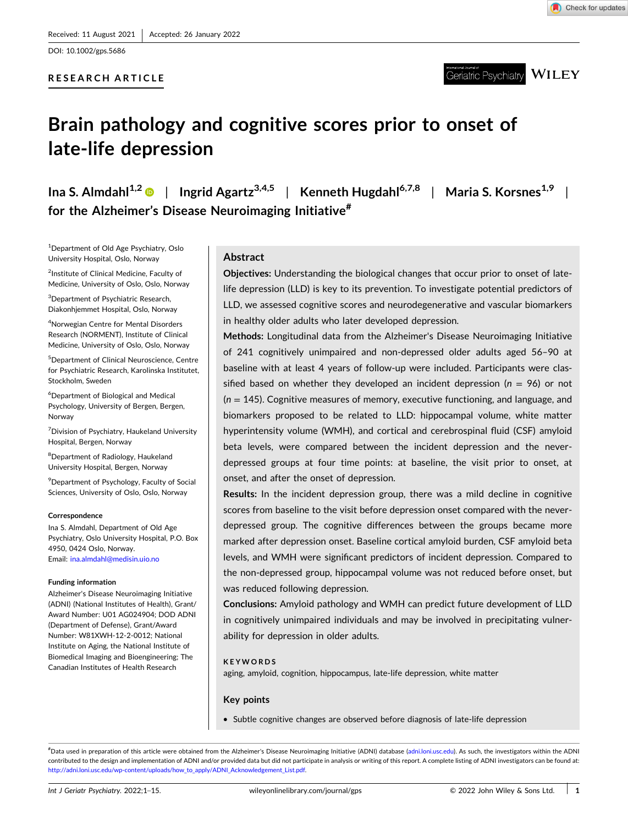DOI: [10.1002/gps.5686](https://doi.org/10.1002/gps.5686)

# **RESEARCH ARTICLE**



Geriatric Psychiatry  $\overline{\text{WIEY}}$ 

# **Brain pathology and cognitive scores prior to onset of late‐life depression**

**Ina** S. Almdahl<sup>1,2</sup>  $\bullet$  | Ingrid Agartz<sup>3,4,5</sup> | Kenneth Hugdahl<sup>6,7,8</sup> | Maria S. Korsnes<sup>1,9</sup> | **for the Alzheimer's Disease Neuroimaging Initiative#**

1 Department of Old Age Psychiatry, Oslo University Hospital, Oslo, Norway

<sup>2</sup>Institute of Clinical Medicine, Faculty of Medicine, University of Oslo, Oslo, Norway

<sup>3</sup>Department of Psychiatric Research, Diakonhjemmet Hospital, Oslo, Norway

4 Norwegian Centre for Mental Disorders Research (NORMENT), Institute of Clinical Medicine, University of Oslo, Oslo, Norway

5 Department of Clinical Neuroscience, Centre for Psychiatric Research, Karolinska Institutet, Stockholm, Sweden

6 Department of Biological and Medical Psychology, University of Bergen, Bergen, Norway

<sup>7</sup> Division of Psychiatry, Haukeland University Hospital, Bergen, Norway

<sup>8</sup>Department of Radiology, Haukeland University Hospital, Bergen, Norway

9 Department of Psychology, Faculty of Social Sciences, University of Oslo, Oslo, Norway

#### **Correspondence**

Ina S. Almdahl, Department of Old Age Psychiatry, Oslo University Hospital, P.O. Box 4950, 0424 Oslo, Norway. Email: [ina.almdahl@medisin.uio.no](mailto:ina.almdahl@medisin.uio.no)

#### **Funding information**

Alzheimer's Disease Neuroimaging Initiative (ADNI) (National Institutes of Health), Grant/ Award Number: U01 AG024904; DOD ADNI (Department of Defense), Grant/Award Number: W81XWH‐12‐2‐0012; National Institute on Aging, the National Institute of Biomedical Imaging and Bioengineering; The Canadian Institutes of Health Research

## **Abstract**

**Objectives:** Understanding the biological changes that occur prior to onset of late‐ life depression (LLD) is key to its prevention. To investigate potential predictors of LLD, we assessed cognitive scores and neurodegenerative and vascular biomarkers in healthy older adults who later developed depression.

**Methods:** Longitudinal data from the Alzheimer's Disease Neuroimaging Initiative of 241 cognitively unimpaired and non‐depressed older adults aged 56–90 at baseline with at least 4 years of follow‐up were included. Participants were classified based on whether they developed an incident depression ( $n = 96$ ) or not (*n* = 145). Cognitive measures of memory, executive functioning, and language, and biomarkers proposed to be related to LLD: hippocampal volume, white matter hyperintensity volume (WMH), and cortical and cerebrospinal fluid (CSF) amyloid beta levels, were compared between the incident depression and the never‐ depressed groups at four time points: at baseline, the visit prior to onset, at onset, and after the onset of depression.

**Results:** In the incident depression group, there was a mild decline in cognitive scores from baseline to the visit before depression onset compared with the never‐ depressed group. The cognitive differences between the groups became more marked after depression onset. Baseline cortical amyloid burden, CSF amyloid beta levels, and WMH were significant predictors of incident depression. Compared to the non‐depressed group, hippocampal volume was not reduced before onset, but was reduced following depression.

**Conclusions:** Amyloid pathology and WMH can predict future development of LLD in cognitively unimpaired individuals and may be involved in precipitating vulnerability for depression in older adults.

#### **KEYWORDS**

aging, amyloid, cognition, hippocampus, late‐life depression, white matter

#### **Key points**

� Subtle cognitive changes are observed before diagnosis of late‐life depression

# Data used in preparation of this article were obtained from the Alzheimer's Disease Neuroimaging Initiative (ADNI) database [\(adni.loni.usc.edu](http://adni.loni.usc.edu)). As such, the investigators within the ADNI contributed to the design and implementation of ADNI and/or provided data but did not participate in analysis or writing of this report. A complete listing of ADNI investigators can be found at: http://adni.loni.usc.edu/wp-[content/uploads/how\\_to\\_apply/ADNI\\_Acknowledgement\\_List.pdf](http://adni.loni.usc.edu/wp-content/uploads/how_to_apply/ADNI_Acknowledgement_List.pdf).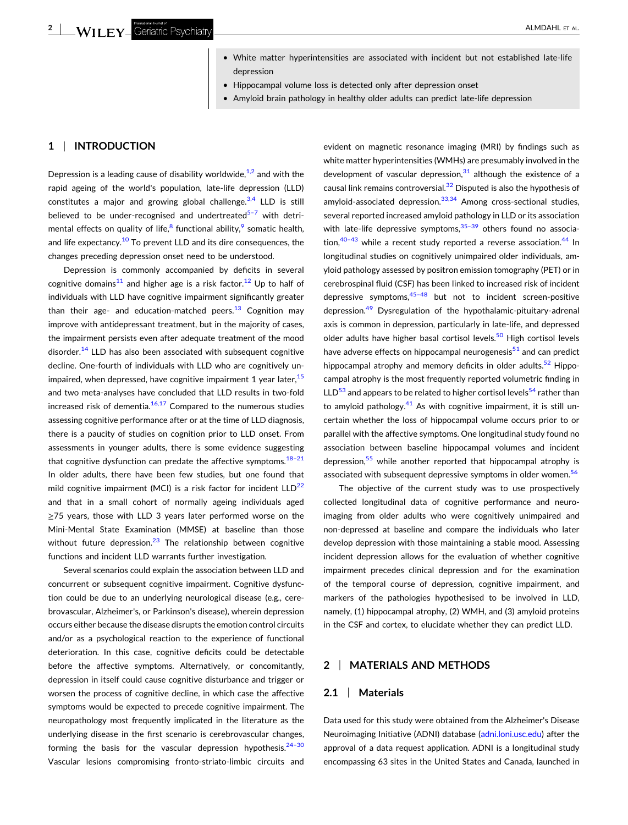- White matter hyperintensities are associated with incident but not established late-life depression
- � Hippocampal volume loss is detected only after depression onset
- Amyloid brain pathology in healthy older adults can predict late-life depression

# **1** <sup>|</sup> **INTRODUCTION**

Depression is a leading cause of disability worldwide, $1/2$  and with the rapid ageing of the world's population, late‐life depression (LLD) constitutes a major and growing global challenge. $3,4$  LLD is still believed to be under-recognised and undertreated $5-7$  with detrimental effects on quality of life, $8$  functional ability, $9$  somatic health, and life expectancy.<sup>[10](#page-12-0)</sup> To prevent LLD and its dire consequences, the changes preceding depression onset need to be understood.

Depression is commonly accompanied by deficits in several cognitive domains<sup>[11](#page-12-0)</sup> and higher age is a risk factor.<sup>12</sup> Up to half of individuals with LLD have cognitive impairment significantly greater than their age- and education-matched peers.<sup>[13](#page-12-0)</sup> Cognition may improve with antidepressant treatment, but in the majority of cases, the impairment persists even after adequate treatment of the mood disorder. $14$  LLD has also been associated with subsequent cognitive decline. One‐fourth of individuals with LLD who are cognitively unimpaired, when depressed, have cognitive impairment 1 year later,  $15$ and two meta‐analyses have concluded that LLD results in two‐fold increased risk of dementia. $16,17$  Compared to the numerous studies assessing cognitive performance after or at the time of LLD diagnosis, there is a paucity of studies on cognition prior to LLD onset. From assessments in younger adults, there is some evidence suggesting that cognitive dysfunction can predate the affective symptoms. $18-21$ In older adults, there have been few studies, but one found that mild cognitive impairment (MCI) is a risk factor for incident  $LLD^{22}$ and that in a small cohort of normally ageing individuals aged ≥75 years, those with LLD 3 years later performed worse on the Mini‐Mental State Examination (MMSE) at baseline than those without future depression. $^{23}$  $^{23}$  $^{23}$  The relationship between cognitive functions and incident LLD warrants further investigation.

Several scenarios could explain the association between LLD and concurrent or subsequent cognitive impairment. Cognitive dysfunction could be due to an underlying neurological disease (e.g., cerebrovascular, Alzheimer's, or Parkinson's disease), wherein depression occurs either because the disease disrupts the emotion control circuits and/or as a psychological reaction to the experience of functional deterioration. In this case, cognitive deficits could be detectable before the affective symptoms. Alternatively, or concomitantly, depression in itself could cause cognitive disturbance and trigger or worsen the process of cognitive decline, in which case the affective symptoms would be expected to precede cognitive impairment. The neuropathology most frequently implicated in the literature as the underlying disease in the first scenario is cerebrovascular changes, forming the basis for the vascular depression hypothesis. $24-30$ Vascular lesions compromising fronto‐striato‐limbic circuits and evident on magnetic resonance imaging (MRI) by findings such as white matter hyperintensities (WMHs) are presumably involved in the development of vascular depression. $31$  although the existence of a causal link remains controversial. $32$  Disputed is also the hypothesis of amyloid-associated depression.<sup>33,34</sup> Among cross-sectional studies, several reported increased amyloid pathology in LLD or its association with late-life depressive symptoms. $35-39$  others found no association, $40-43$  while a recent study reported a reverse association.  $44$  In longitudinal studies on cognitively unimpaired older individuals, amyloid pathology assessed by positron emission tomography (PET) or in cerebrospinal fluid (CSF) has been linked to increased risk of incident depressive symptoms, $45-48$  but not to incident screen-positive depression.[49](#page-13-0) Dysregulation of the hypothalamic‐pituitary‐adrenal axis is common in depression, particularly in late‐life, and depressed older adults have higher basal cortisol levels.<sup>50</sup> High cortisol levels have adverse effects on hippocampal neurogenesis $51$  and can predict hippocampal atrophy and memory deficits in older adults.<sup>[52](#page-13-0)</sup> Hippocampal atrophy is the most frequently reported volumetric finding in  $LLD<sup>53</sup>$  and appears to be related to higher cortisol levels<sup>54</sup> rather than to amyloid pathology.<sup>[41](#page-13-0)</sup> As with cognitive impairment, it is still uncertain whether the loss of hippocampal volume occurs prior to or parallel with the affective symptoms. One longitudinal study found no association between baseline hippocampal volumes and incident depression, $55$  while another reported that hippocampal atrophy is associated with subsequent depressive symptoms in older women.<sup>[56](#page-13-0)</sup>

The objective of the current study was to use prospectively collected longitudinal data of cognitive performance and neuroimaging from older adults who were cognitively unimpaired and non‐depressed at baseline and compare the individuals who later develop depression with those maintaining a stable mood. Assessing incident depression allows for the evaluation of whether cognitive impairment precedes clinical depression and for the examination of the temporal course of depression, cognitive impairment, and markers of the pathologies hypothesised to be involved in LLD, namely, (1) hippocampal atrophy, (2) WMH, and (3) amyloid proteins in the CSF and cortex, to elucidate whether they can predict LLD.

# **2** <sup>|</sup> **MATERIALS AND METHODS**

## **2.1** <sup>|</sup> **Materials**

Data used for this study were obtained from the Alzheimer's Disease Neuroimaging Initiative (ADNI) database [\(adni.loni.usc.edu\)](http://adni.loni.usc.edu) after the approval of a data request application. ADNI is a longitudinal study encompassing 63 sites in the United States and Canada, launched in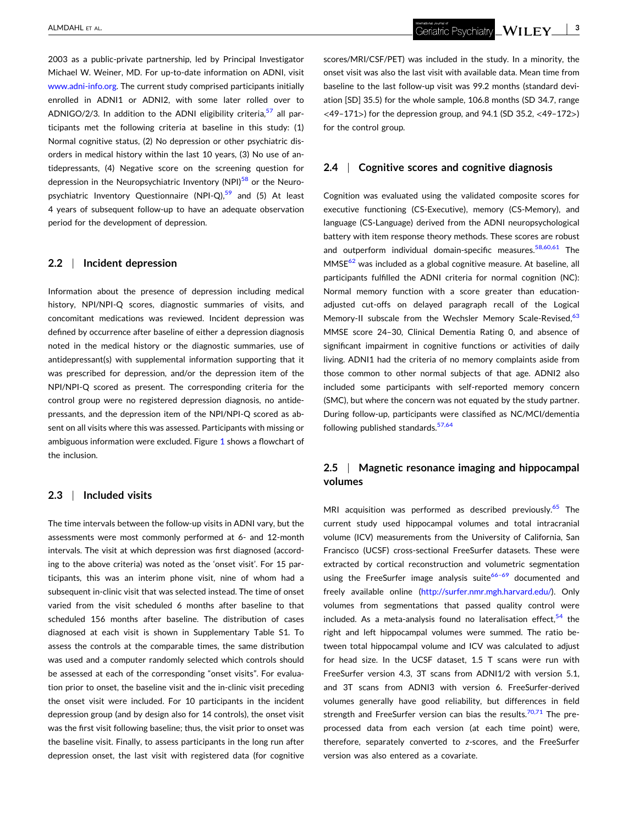2003 as a public‐private partnership, led by Principal Investigator Michael W. Weiner, MD. For up‐to‐date information on ADNI, visit [www.adni](http://www.adni-info.org)-info.org. The current study comprised participants initially enrolled in ADNI1 or ADNI2, with some later rolled over to ADNIGO/2/3. In addition to the ADNI eligibility criteria,  $57$  all participants met the following criteria at baseline in this study: (1) Normal cognitive status, (2) No depression or other psychiatric disorders in medical history within the last 10 years, (3) No use of antidepressants, (4) Negative score on the screening question for depression in the Neuropsychiatric Inventory (NPI)<sup>[58](#page-13-0)</sup> or the Neuro-psychiatric Inventory Questionnaire (NPI-Q),<sup>[59](#page-13-0)</sup> and (5) At least 4 years of subsequent follow‐up to have an adequate observation period for the development of depression.

### **2.2** <sup>|</sup> **Incident depression**

Information about the presence of depression including medical history, NPI/NPI-Q scores, diagnostic summaries of visits, and concomitant medications was reviewed. Incident depression was defined by occurrence after baseline of either a depression diagnosis noted in the medical history or the diagnostic summaries, use of antidepressant(s) with supplemental information supporting that it was prescribed for depression, and/or the depression item of the NPI/NPI‐Q scored as present. The corresponding criteria for the control group were no registered depression diagnosis, no antidepressants, and the depression item of the NPI/NPI‐Q scored as absent on all visits where this was assessed. Participants with missing or ambiguous information were excluded. Figure [1](#page-3-0) shows a flowchart of the inclusion.

#### **2.3** <sup>|</sup> **Included visits**

The time intervals between the follow‐up visits in ADNI vary, but the assessments were most commonly performed at 6‐ and 12‐month intervals. The visit at which depression was first diagnosed (according to the above criteria) was noted as the 'onset visit'. For 15 participants, this was an interim phone visit, nine of whom had a subsequent in-clinic visit that was selected instead. The time of onset varied from the visit scheduled 6 months after baseline to that scheduled 156 months after baseline. The distribution of cases diagnosed at each visit is shown in Supplementary Table S1. To assess the controls at the comparable times, the same distribution was used and a computer randomly selected which controls should be assessed at each of the corresponding "onset visits". For evaluation prior to onset, the baseline visit and the in‐clinic visit preceding the onset visit were included. For 10 participants in the incident depression group (and by design also for 14 controls), the onset visit was the first visit following baseline; thus, the visit prior to onset was the baseline visit. Finally, to assess participants in the long run after depression onset, the last visit with registered data (for cognitive

scores/MRI/CSF/PET) was included in the study. In a minority, the onset visit was also the last visit with available data. Mean time from baseline to the last follow‐up visit was 99.2 months (standard deviation [SD] 35.5) for the whole sample, 106.8 months (SD 34.7, range <49–171>) for the depression group, and 94.1 (SD 35.2, <49–172>) for the control group.

## **2.4** <sup>|</sup> **Cognitive scores and cognitive diagnosis**

Cognition was evaluated using the validated composite scores for executive functioning (CS‐Executive), memory (CS‐Memory), and language (CS‐Language) derived from the ADNI neuropsychological battery with item response theory methods. These scores are robust and outperform individual domain-specific measures.<sup>[58,60,61](#page-13-0)</sup> The  $MMSE<sup>62</sup>$  was included as a global cognitive measure. At baseline, all participants fulfilled the ADNI criteria for normal cognition (NC): Normal memory function with a score greater than education‐ adjusted cut‐offs on delayed paragraph recall of the Logical Memory-II subscale from the Wechsler Memory Scale-Revised, <sup>[63](#page-13-0)</sup> MMSE score 24–30, Clinical Dementia Rating 0, and absence of significant impairment in cognitive functions or activities of daily living. ADNI1 had the criteria of no memory complaints aside from those common to other normal subjects of that age. ADNI2 also included some participants with self-reported memory concern (SMC), but where the concern was not equated by the study partner. During follow‐up, participants were classified as NC/MCI/dementia following published standards.<sup>[57,64](#page-13-0)</sup>

# **2.5** <sup>|</sup> **Magnetic resonance imaging and hippocampal volumes**

MRI acquisition was performed as described previously.<sup>[65](#page-13-0)</sup> The current study used hippocampal volumes and total intracranial volume (ICV) measurements from the University of California, San Francisco (UCSF) cross‐sectional FreeSurfer datasets. These were extracted by cortical reconstruction and volumetric segmentation using the FreeSurfer image analysis suite $66-69$  documented and freely available online [\(http://surfer.nmr.mgh.harvard.edu/\)](http://surfer.nmr.mgh.harvard.edu/). Only volumes from segmentations that passed quality control were included. As a meta-analysis found no lateralisation effect,  $54$  the right and left hippocampal volumes were summed. The ratio between total hippocampal volume and ICV was calculated to adjust for head size. In the UCSF dataset, 1.5 T scans were run with FreeSurfer version 4.3, 3T scans from ADNI1/2 with version 5.1, and 3T scans from ADNI3 with version 6. FreeSurfer‐derived volumes generally have good reliability, but differences in field strength and FreeSurfer version can bias the results.<sup>[70,71](#page-13-0)</sup> The preprocessed data from each version (at each time point) were, therefore, separately converted to *z*‐scores, and the FreeSurfer version was also entered as a covariate.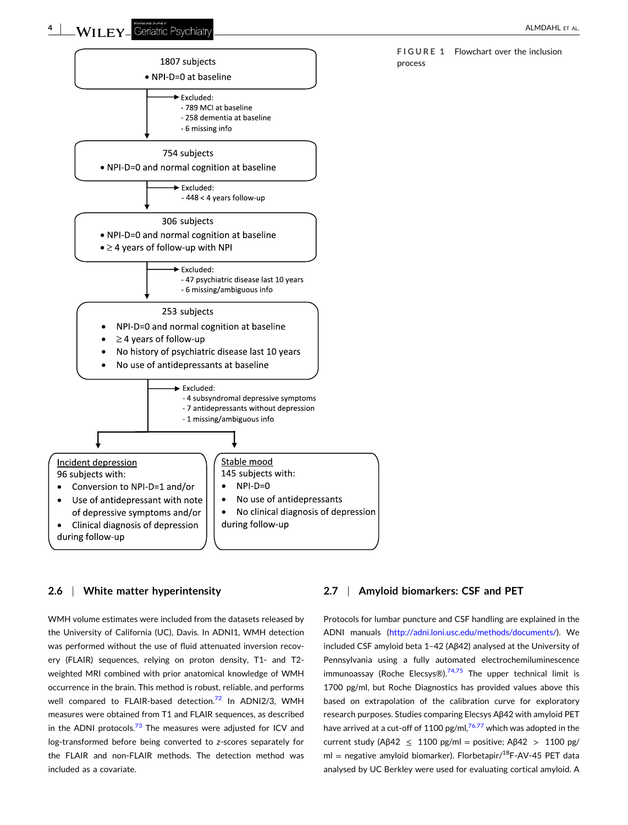**FIGURE 1** Flowchart over the inclusion

process



# **2.6** <sup>|</sup> **White matter hyperintensity**

WMH volume estimates were included from the datasets released by the University of California (UC), Davis. In ADNI1, WMH detection was performed without the use of fluid attenuated inversion recovery (FLAIR) sequences, relying on proton density, T1‐ and T2‐ weighted MRI combined with prior anatomical knowledge of WMH occurrence in the brain. This method is robust, reliable, and performs well compared to FLAIR-based detection.<sup>[72](#page-13-0)</sup> In ADNI2/3, WMH measures were obtained from T1 and FLAIR sequences, as described in the ADNI protocols. $73$  The measures were adjusted for ICV and log-transformed before being converted to *z*-scores separately for the FLAIR and non‐FLAIR methods. The detection method was included as a covariate.

# **2.7** <sup>|</sup> **Amyloid biomarkers: CSF and PET**

Protocols for lumbar puncture and CSF handling are explained in the ADNI manuals [\(http://adni.loni.usc.edu/methods/documents/\)](http://adni.loni.usc.edu/methods/documents/). We included CSF amyloid beta 1–42 (Aβ42) analysed at the University of Pennsylvania using a fully automated electrochemiluminescence immunoassay (Roche Elecsys®). $74,75$  The upper technical limit is 1700 pg/ml, but Roche Diagnostics has provided values above this based on extrapolation of the calibration curve for exploratory research purposes. Studies comparing Elecsys Aβ42 with amyloid PET have arrived at a cut-off of 1100 pg/ml, $76,77$  which was adopted in the current study (A $\beta$ 42  $\leq$  1100 pg/ml = positive; A $\beta$ 42  $>$  1100 pg/ ml = negative amyloid biomarker). Florbetapir/ $^{18}$ F-AV-45 PET data analysed by UC Berkley were used for evaluating cortical amyloid. A

<span id="page-3-0"></span>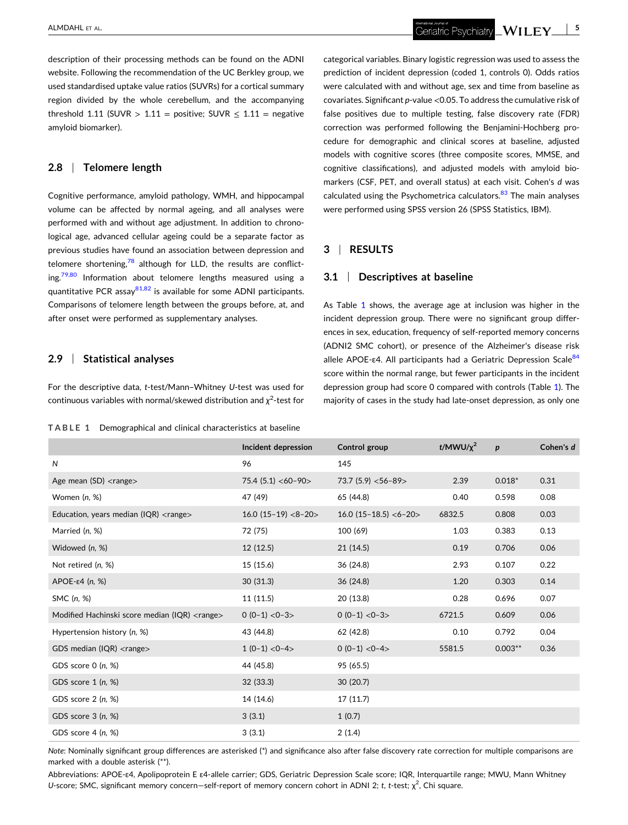description of their processing methods can be found on the ADNI website. Following the recommendation of the UC Berkley group, we used standardised uptake value ratios (SUVRs) for a cortical summary region divided by the whole cerebellum, and the accompanying threshold 1.11 (SUVR > 1.11 = positive; SUVR  $\leq$  1.11 = negative amyloid biomarker).

## **2.8** <sup>|</sup> **Telomere length**

Cognitive performance, amyloid pathology, WMH, and hippocampal volume can be affected by normal ageing, and all analyses were performed with and without age adjustment. In addition to chronological age, advanced cellular ageing could be a separate factor as previous studies have found an association between depression and telomere shortening, $\frac{78}{3}$  $\frac{78}{3}$  $\frac{78}{3}$  although for LLD, the results are conflict- $ing.<sup>79,80</sup>$  $ing.<sup>79,80</sup>$  $ing.<sup>79,80</sup>$  Information about telomere lengths measured using a quantitative PCR assay $81,82$  is available for some ADNI participants. Comparisons of telomere length between the groups before, at, and after onset were performed as supplementary analyses.

## **2.9** <sup>|</sup> **Statistical analyses**

For the descriptive data, *t*-test/Mann-Whitney U-test was used for continuous variables with normal/skewed distribution and *χ*<sup>2</sup>-test for

**TABLE 1** Demographical and clinical characteristics at baseline

categorical variables. Binary logistic regression was used to assess the prediction of incident depression (coded 1, controls 0). Odds ratios were calculated with and without age, sex and time from baseline as covariates. Significant *p*-value <0.05. To address the cumulative risk of false positives due to multiple testing, false discovery rate (FDR) correction was performed following the Benjamini‐Hochberg procedure for demographic and clinical scores at baseline, adjusted models with cognitive scores (three composite scores, MMSE, and cognitive classifications), and adjusted models with amyloid biomarkers (CSF, PET, and overall status) at each visit. Cohen's *d* was calculated using the Psychometrica calculators.<sup>[83](#page-14-0)</sup> The main analyses were performed using SPSS version 26 (SPSS Statistics, IBM).

#### **3** <sup>|</sup> **RESULTS**

#### **3.1** <sup>|</sup> **Descriptives at baseline**

As Table 1 shows, the average age at inclusion was higher in the incident depression group. There were no significant group differences in sex, education, frequency of self‐reported memory concerns (ADNI2 SMC cohort), or presence of the Alzheimer's disease risk allele APOE-ε4. All participants had a Geriatric Depression Scale<sup>[84](#page-14-0)</sup> score within the normal range, but fewer participants in the incident depression group had score 0 compared with controls (Table 1). The majority of cases in the study had late‐onset depression, as only one

|                                                         | Incident depression   | Control group           | t/MWU/ $\chi^2$ | $\boldsymbol{p}$ | Cohen's d |
|---------------------------------------------------------|-----------------------|-------------------------|-----------------|------------------|-----------|
| N                                                       | 96                    | 145                     |                 |                  |           |
| Age mean $(SD)$ <range></range>                         | $75.4(5.1) < 60-90>$  | 73.7 (5.9) $<$ 56-89>   | 2.39            | $0.018*$         | 0.31      |
| Women (n, %)                                            | 47 (49)               | 65 (44.8)               | 0.40            | 0.598            | 0.08      |
| Education, years median (IQR) $\langle$ range $\rangle$ | $16.0$ (15-19) <8-20> | $16.0$ (15-18.5) <6-20> | 6832.5          | 0.808            | 0.03      |
| Married (n, %)                                          | 72 (75)               | 100 (69)                | 1.03            | 0.383            | 0.13      |
| Widowed (n, %)                                          | 12(12.5)              | 21 (14.5)               | 0.19            | 0.706            | 0.06      |
| Not retired (n, %)                                      | 15 (15.6)             | 36 (24.8)               | 2.93            | 0.107            | 0.22      |
| $APOE-ε4 (n, %)$                                        | 30(31.3)              | 36 (24.8)               | 1.20            | 0.303            | 0.14      |
| SMC (n, %)                                              | 11 (11.5)             | 20 (13.8)               | 0.28            | 0.696            | 0.07      |
| Modified Hachinski score median (IQR) <range></range>   | $0(0-1) < 0-3$        | $0(0-1) < 0-3$          | 6721.5          | 0.609            | 0.06      |
| Hypertension history (n, %)                             | 43 (44.8)             | 62 (42.8)               | 0.10            | 0.792            | 0.04      |
| GDS median ( $IQR$ ) <range></range>                    | $1(0-1) < 0-4$        | $0(0-1) < 0-4$          | 5581.5          | $0.003**$        | 0.36      |
| GDS score 0 (n, %)                                      | 44 (45.8)             | 95 (65.5)               |                 |                  |           |
| GDS score $1(n, %)$                                     | 32 (33.3)             | 30(20.7)                |                 |                  |           |
| GDS score 2 (n, %)                                      | 14 (14.6)             | 17 (11.7)               |                 |                  |           |
| GDS score $3(n, %)$                                     | 3(3.1)                | 1(0.7)                  |                 |                  |           |
| GDS score 4 (n, %)                                      | 3(3.1)                | 2(1.4)                  |                 |                  |           |

*Note*: Nominally significant group differences are asterisked (\*) and significance also after false discovery rate correction for multiple comparisons are marked with a double asterisk (\*\*).

Abbreviations: APOE‐ε4, Apolipoprotein E ε4‐allele carrier; GDS, Geriatric Depression Scale score; IQR, Interquartile range; MWU, Mann Whitney U-score; SMC, significant memory concern—self-report of memory concern cohort in ADNI 2; *t*, *t*-test; χ<sup>2</sup>, Chi square.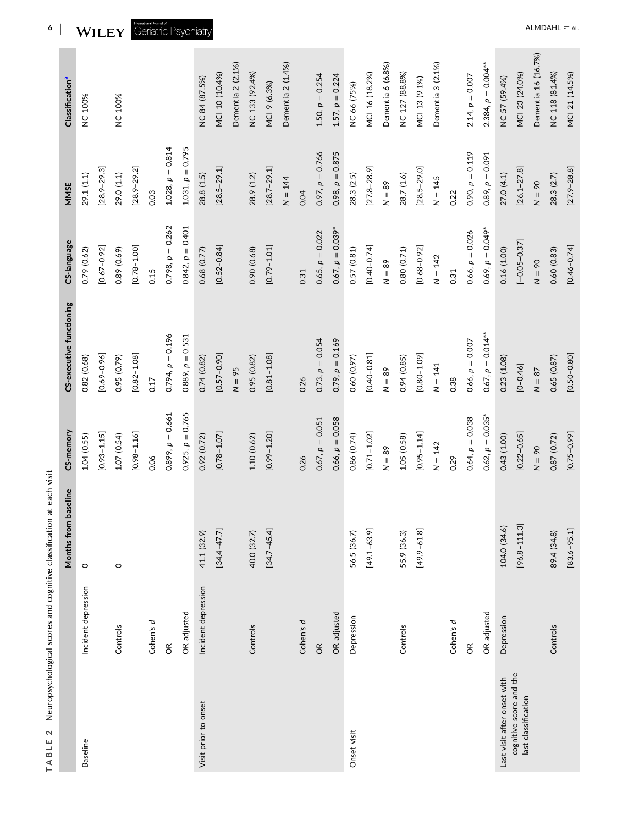|                                                |                      | Months from baseline | CS-memory          | CS-executive functioning | CS-language           | MMSE               | Classification <sup>a</sup> |
|------------------------------------------------|----------------------|----------------------|--------------------|--------------------------|-----------------------|--------------------|-----------------------------|
| <b>Baseline</b>                                | Incident depression  | $\circ$              | 1.04(0.55)         | 0.82 (0.68)              | 0.79 (0.62)           | 29.1(1.1)          | <b>NC 100%</b>              |
|                                                |                      |                      | $[0.93 - 1.15]$    | $[0.69 - 0.96]$          | $[0.67 - 0.92]$       | $[28.9 - 29.3]$    |                             |
|                                                | Controls             | $\circ$              | 1.07(0.54)         | 0.95(0.79)               | 0.89 (0.69)           | 29.0(1.1)          | <b>NC 100%</b>              |
|                                                |                      |                      | $[0.98 - 1.16]$    | $[0.82 - 1.08]$          | $[0.78 - 1.00]$       | $[28.9 - 29.2]$    |                             |
|                                                | Cohen's d            |                      | 0.06               | 0.17                     | 0.15                  | 0.03               |                             |
|                                                | $\widetilde{\sigma}$ |                      | $0.899, p = 0.661$ | $0.794$ , $p = 0.196$    | $0.798, p = 0.262$    | $1.028, p = 0.814$ |                             |
|                                                | OR adjusted          |                      | $0.925, p = 0.765$ | $0.889, p = 0.531$       | $0.842$ , $p = 0.401$ | $1.031, p = 0.795$ |                             |
| Visit prior to onset                           | Incident depression  | 41.1 (32.9)          | 0.92 (0.72)        | 0.74(0.82)               | 0.68 (0.77)           | 28.8 (1.5)         | NC 84 (87.5%)               |
|                                                |                      | $[34.4 - 47.7]$      | $[0.78 - 1.07]$    | $[0.57 - 0.90]$          | $[0.52 - 0.84]$       | $[28.5 - 29.1]$    | MCI 10 (10.4%)              |
|                                                |                      |                      |                    | $N = 95$                 |                       |                    | Dementia 2 (2.1%)           |
|                                                | Controls             | 40.0 (32.7)          | 1.10 (0.62)        | 0.95(0.82)               | 0.90(0.68)            | 28.9 (1.2)         | NC 133 (92.4%)              |
|                                                |                      | $[34.7 - 45.4]$      | $[0.99 - 1.20]$    | $[0.81 - 1.08]$          | $[0.79 - 1.01]$       | $[28.7 - 29.1]$    | MCI 9 (6.3%)                |
|                                                |                      |                      |                    |                          |                       | $N = 144$          | Dementia 2 (1.4%)           |
|                                                | Cohen's d            |                      | 0.26               | 0.26                     | 0.31                  | 0.04               |                             |
|                                                | $\Im$                |                      | $0.67, p = 0.051$  | $0.73, p = 0.054$        | $0.65, p = 0.022$     | $0.97, p = 0.766$  | $1.50, p = 0.254$           |
|                                                | OR adjusted          |                      | $0.66, p = 0.058$  | $0.79, p = 0.169$        | $0.67, p = 0.039*$    | $0.98, p = 0.875$  | $1.57, p = 0.224$           |
| Onset visit                                    | Depression           | 56.5 (36.7)          | 0.86 (0.74)        | 0.60 (0.97)              | 0.57(0.81)            | 28.3(2.5)          | NC 66 (75%)                 |
|                                                |                      | $[49.1 - 63.9]$      | $[0.71 - 1.02]$    | $[0.40 - 0.81]$          | $[0.40 - 0.74]$       | $[27.8 - 28.9]$    | MCI 16 (18.2%)              |
|                                                |                      |                      | $N = 89$           | $N = 89$                 | $N = 89$              | $N = 89$           | Dementia 6 (6.8%)           |
|                                                | Controls             | 55.9 (36.3)          | 1.05(0.58)         | 0.94(0.85)               | 0.80(0.71)            | 28.7 (1.6)         | NC 127 (88.8%)              |
|                                                |                      | $[49.9 - 61.8]$      | $[0.95 - 1.14]$    | $[0.80 - 1.09]$          | $[0.68 - 0.92]$       | $[28.5 - 29.0]$    | MCI 13 (9.1%)               |
|                                                |                      |                      | $N = 142$          | $N = 141$                | $N = 142$             | $N = 145$          | Dementia 3 (2.1%)           |
|                                                | Cohen's d            |                      | 0.29               | 0.38                     | 0.31                  | 0.22               |                             |
|                                                | $\widetilde{\sigma}$ |                      | $0.64, p = 0.038$  | $0.66, p = 0.007$        | $0.66, p = 0.026$     | $0.90, p = 0.119$  | $2.14, p = 0.007$           |
|                                                | OR adjusted          |                      | $0.62, p = 0.035*$ | $0.67, p = 0.014***$     | $0.69, p = 0.049*$    | $0.89, p = 0.091$  | $2.384, p = 0.004***$       |
| Last visit after onset with                    | Depression           | 104.0 (34.6)         | 0.43 (1.00)        | 0.23 (1.08)              | 0.16(1.00)            | 27.0(4.1)          | NC 57 (59.4%)               |
| cognitive score and the<br>last classification |                      | $[96.8 - 111.3]$     | $[0.22 - 0.65]$    | $[0 - 0.46]$             | $[-0.05 - 0.37]$      | $[26.1 - 27.8]$    | MCI 23 (24.0%)              |
|                                                |                      |                      | $N = 90$           | $N=87$                   | $N = 90$              | $N = 90$           | Dementia 16 (16.7%)         |
|                                                | Controls             | 89.4 (34.8)          | 0.87 (0.72)        | 0.65(0.87)               | 0.60(0.83)            | 28.3 (2.7)         | NC 118 (81.4%)              |
|                                                |                      | $[83.6 - 95.1]$      | $[0.75 - 0.99]$    | $[0.50 - 0.80]$          | $[0.46 - 0.74]$       | $[27.9 - 28.8]$    | MCI 21 (14.5%)              |



<span id="page-5-0"></span>**6** - ALMDAHL ET AL

ALMDAHL ET AL.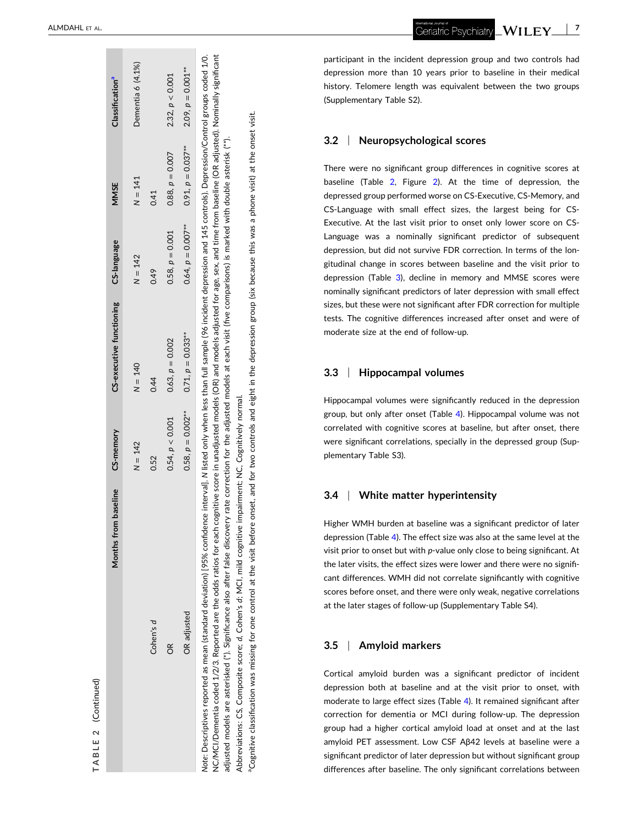(Continued) (Continued) **2TABLE**

<span id="page-6-0"></span>

| baseline<br>Months from                                                                                                                                                                                      | CS-memory            | CS-executive functioning | CS-language          | MMSE                 | Classification <sup>a</sup> |
|--------------------------------------------------------------------------------------------------------------------------------------------------------------------------------------------------------------|----------------------|--------------------------|----------------------|----------------------|-----------------------------|
|                                                                                                                                                                                                              | $N = 142$            | $N = 140$                | $N = 142$            | $N = 141$            | Dementia 6 (4.1%)           |
| Cohen's d                                                                                                                                                                                                    | 0.52                 | 0.44                     | 0.49                 | 0.41                 |                             |
| õŘ                                                                                                                                                                                                           | 0.54, p < 0.001      | $0.63, p = 0.002$        | $0.58, p = 0.001$    | $0.88, p = 0.007$    | 2.32, p < 0.001             |
| OR adjusted                                                                                                                                                                                                  | $0.58, p = 0.002***$ | $0.71, p = 0.033***$     | $0.64, p = 0.007***$ | $0.91, p = 0.037***$ | $2.09, p = 0.001***$        |
| Note: Descriptives reported as mean (standard deviation) [95% confidence interval]. N listed only when less than full sample (96 incident depression and 145 controls). Depression/Control groups coded 1/0. |                      |                          |                      |                      |                             |

NC/MCI/Dementia coded 1/2/3. Reported are the odds ratios for each cognitive score in unadjusted models (OR) and models adjusted for age, sex, and time from baseline (OR adjusted). Nominally significant NCI/Dementia coded 1/2/3. Reported are the odds ratios for each cognitive score in unadjusted models (OR) and models adjusted for age, sex, and time from baseline (OR adjusted). Nominally significant adjusted models are asterisked (\*). Significance also after false discovery rate correction for the adjusted models at each visit (five comparisons) is marked with double asterisk (\*\*). adjusted models are asterisked (\*). Significance also after false discovery rate correction for the adjusted models at each visit (five comparisons) is marked with double asterisk (\*\*). Abbreviations: CS, Composite score; *d*, Cohen's *d*; MCI, mild cognitive impairment; NC, Cognitively normal. Cognitively normal mild cognitive impairment; NC, VCI. Abbreviations: CS, Composite score; d, Cohen's d;

for two controls and eight in the depression group (six because this was a phone visit) at the onset visit. aCognitive classification was missing for one control at the visit before onset, and for two controls and eight in the depression group (six because this was a phone visit) at the onset visit. aCognitive classification was missing for one control at the visit before onset, and participant in the incident depression group and two controls had depression more than 10 years prior to baseline in their medical history. Telomere length was equivalent between the two groups (Supplementary Table S2).

#### **3.2** <sup>|</sup> **Neuropsychological scores**

There were no significant group differences in cognitive scores at baseline (Table [2](#page-5-0) , Figure [2](#page-7-0)). At the time of depression, the depressed group performed worse on CS ‐Executive, CS ‐Memory, and CS ‐Language with small effect sizes, the largest being for CS ‐ Executive. At the last visit prior to onset only lower score on CS ‐ Language was a nominally significant predictor of subsequent depression, but did not survive FDR correction. In terms of the longitudinal change in scores between baseline and the visit prior to depression (Table [3\)](#page-8-0), decline in memory and MMSE scores were nominally significant predictors of later depression with small effect sizes, but these were not significant after FDR correction for multiple tests. The cognitive differences increased after onset and were of moderate size at the end of follow ‐up.

#### **3.3** <sup>|</sup> **Hippocampal volumes**

Hippocampal volumes were significantly reduced in the depression group, but only after onset (Table [4\)](#page-9-0). Hippocampal volume was not correlated with cognitive scores at baseline, but after onset, there were significant correlations, specially in the depressed group (Supplementary Table S3).

#### **3.4** <sup>|</sup> **White matter hyperintensity**

Higher WMH burden at baseline was a significant predictor of later depression (Table [4\)](#page-9-0). The effect size was also at the same level at the visit prior to onset but with p-value only close to being significant. At the later visits, the effect sizes were lower and there were no significant differences. WMH did not correlate significantly with cognitive scores before onset, and there were only weak, negative correlations at the later stages of follow ‐up (Supplementary Table S4).

#### **3.5** <sup>|</sup> **Amyloid markers**

Cortical amyloid burden was a significant predictor of incident depression both at baseline and at the visit prior to onset, with moderate to large effect sizes (Table [4](#page-9-0)). It remained significant after correction for dementia or MCI during follow ‐up. The depression group had a higher cortical amyloid load at onset and at the last amyloid PET assessment. Low CSF Aβ42 levels at baseline were a significant predictor of later depression but without significant group differences after baseline. The only significant correlations between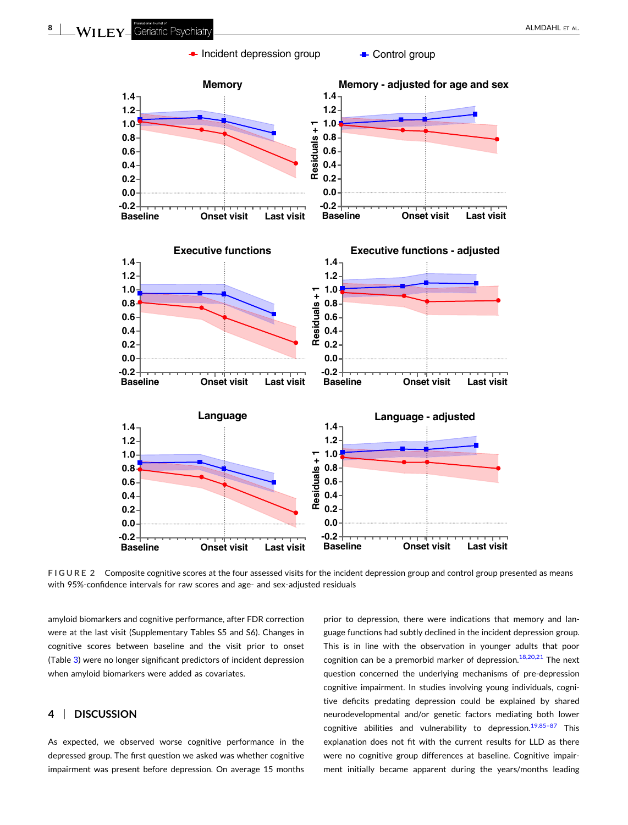<span id="page-7-0"></span>

**FIGURE 2** Composite cognitive scores at the four assessed visits for the incident depression group and control group presented as means with 95%-confidence intervals for raw scores and age- and sex-adjusted residuals

amyloid biomarkers and cognitive performance, after FDR correction were at the last visit (Supplementary Tables S5 and S6). Changes in cognitive scores between baseline and the visit prior to onset (Table [3](#page-8-0)) were no longer significant predictors of incident depression when amyloid biomarkers were added as covariates.

# **4** <sup>|</sup> **DISCUSSION**

As expected, we observed worse cognitive performance in the depressed group. The first question we asked was whether cognitive impairment was present before depression. On average 15 months prior to depression, there were indications that memory and language functions had subtly declined in the incident depression group. This is in line with the observation in younger adults that poor cognition can be a premorbid marker of depression. $18,20,21$  The next question concerned the underlying mechanisms of pre‐depression cognitive impairment. In studies involving young individuals, cognitive deficits predating depression could be explained by shared neurodevelopmental and/or genetic factors mediating both lower cognitive abilities and vulnerability to depression.<sup>19,85-87</sup> This explanation does not fit with the current results for LLD as there were no cognitive group differences at baseline. Cognitive impairment initially became apparent during the years/months leading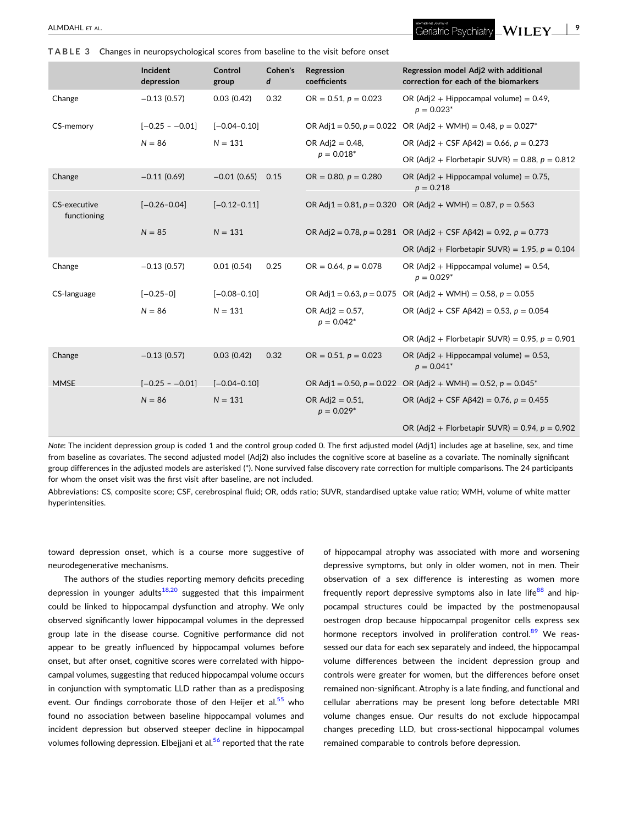<span id="page-8-0"></span>**TABLE 3** Changes in neuropsychological scores from baseline to the visit before onset

|                             | Incident<br>depression | Control<br>group | Cohen's<br>d | Regression<br>coefficients           | Regression model Adj2 with additional<br>correction for each of the biomarkers |
|-----------------------------|------------------------|------------------|--------------|--------------------------------------|--------------------------------------------------------------------------------|
| Change                      | $-0.13(0.57)$          | 0.03(0.42)       | 0.32         | $OR = 0.51$ , $p = 0.023$            | OR (Adj2 + Hippocampal volume) = $0.49$ ,<br>$p = 0.023*$                      |
| CS-memory                   | $[-0.25 - -0.01]$      | $[-0.04 - 0.10]$ |              |                                      | OR Adj1 = 0.50, $p = 0.022$ OR (Adj2 + WMH) = 0.48, $p = 0.027^*$              |
|                             | $N = 86$               | $N = 131$        |              | OR Adj $2 = 0.48$ ,                  | OR (Adj2 + CSF A $\beta$ 42) = 0.66, p = 0.273                                 |
|                             |                        |                  |              | $p = 0.018^*$                        | OR (Adj2 + Florbetapir SUVR) = 0.88, $p = 0.812$                               |
| Change                      | $-0.11(0.69)$          | $-0.01(0.65)$    | 0.15         | $OR = 0.80, p = 0.280$               | OR (Adj2 + Hippocampal volume) = $0.75$ ,<br>$p = 0.218$                       |
| CS-executive<br>functioning | $[-0.26 - 0.04]$       | $[-0.12 - 0.11]$ |              |                                      | OR Adj1 = 0.81, $p = 0.320$ OR (Adj2 + WMH) = 0.87, $p = 0.563$                |
|                             | $N = 85$               | $N = 131$        |              |                                      | OR Adj2 = 0.78, $p = 0.281$ OR (Adj2 + CSF A $\beta$ 42) = 0.92, $p = 0.773$   |
|                             |                        |                  |              |                                      | OR (Adj2 + Florbetapir SUVR) = 1.95, $p = 0.104$                               |
| Change                      | $-0.13(0.57)$          | 0.01(0.54)       | 0.25         | $OR = 0.64$ , $p = 0.078$            | OR (Adj2 + Hippocampal volume) = $0.54$ ,<br>$p = 0.029*$                      |
| CS-language                 | $[-0.25-0]$            | $[-0.08 - 0.10]$ |              |                                      | OR Adj1 = 0.63, $p = 0.075$ OR (Adj2 + WMH) = 0.58, $p = 0.055$                |
|                             | $N = 86$               | $N = 131$        |              | OR Adj $2 = 0.57$ ,<br>$p = 0.042^*$ | OR (Adj2 + CSF A $\beta$ 42) = 0.53, p = 0.054                                 |
|                             |                        |                  |              |                                      | OR (Adj2 + Florbetapir SUVR) = 0.95, $p = 0.901$                               |
| Change                      | $-0.13(0.57)$          | 0.03(0.42)       | 0.32         | OR = $0.51$ , $p = 0.023$            | OR (Adj2 + Hippocampal volume) = $0.53$ ,<br>$p = 0.041*$                      |
| <b>MMSE</b>                 | $[-0.25 - -0.01]$      | $[-0.04 - 0.10]$ |              |                                      | OR Adj1 = 0.50, $p = 0.022$ OR (Adj2 + WMH) = 0.52, $p = 0.045^*$              |
|                             | $N = 86$               | $N = 131$        |              | OR $Adj2 = 0.51$ ,<br>$p = 0.029*$   | OR (Adj2 + CSF A $\beta$ 42) = 0.76, p = 0.455                                 |
|                             |                        |                  |              |                                      | OR (Adj2 + Florbetapir SUVR) = 0.94, $p = 0.902$                               |

*Note*: The incident depression group is coded 1 and the control group coded 0. The first adjusted model (Adj1) includes age at baseline, sex, and time from baseline as covariates. The second adjusted model (Adj2) also includes the cognitive score at baseline as a covariate. The nominally significant group differences in the adjusted models are asterisked (\*). None survived false discovery rate correction for multiple comparisons. The 24 participants for whom the onset visit was the first visit after baseline, are not included.

Abbreviations: CS, composite score; CSF, cerebrospinal fluid; OR, odds ratio; SUVR, standardised uptake value ratio; WMH, volume of white matter hyperintensities.

toward depression onset, which is a course more suggestive of neurodegenerative mechanisms.

The authors of the studies reporting memory deficits preceding depression in younger adults $18,20$  suggested that this impairment could be linked to hippocampal dysfunction and atrophy. We only observed significantly lower hippocampal volumes in the depressed group late in the disease course. Cognitive performance did not appear to be greatly influenced by hippocampal volumes before onset, but after onset, cognitive scores were correlated with hippocampal volumes, suggesting that reduced hippocampal volume occurs in conjunction with symptomatic LLD rather than as a predisposing event. Our findings corroborate those of den Heijer et al.<sup>[55](#page-13-0)</sup> who found no association between baseline hippocampal volumes and incident depression but observed steeper decline in hippocampal volumes following depression. Elbejjani et al.<sup>[56](#page-13-0)</sup> reported that the rate

of hippocampal atrophy was associated with more and worsening depressive symptoms, but only in older women, not in men. Their observation of a sex difference is interesting as women more frequently report depressive symptoms also in late life $88$  and hippocampal structures could be impacted by the postmenopausal oestrogen drop because hippocampal progenitor cells express sex hormone receptors involved in proliferation control.<sup>89</sup> We reassessed our data for each sex separately and indeed, the hippocampal volume differences between the incident depression group and controls were greater for women, but the differences before onset remained non‐significant. Atrophy is a late finding, and functional and cellular aberrations may be present long before detectable MRI volume changes ensue. Our results do not exclude hippocampal changes preceding LLD, but cross‐sectional hippocampal volumes remained comparable to controls before depression.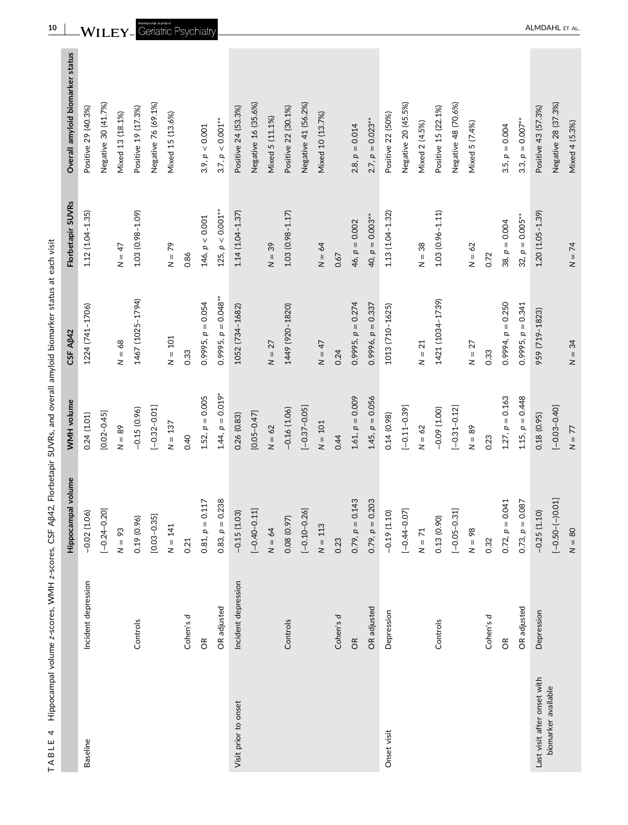| ļ                                                            |
|--------------------------------------------------------------|
|                                                              |
|                                                              |
| Ī                                                            |
| ֖֖֖֖֖֧ׅ֪ׅׅ֖֖֪֪֪֪֪֪֪֪ׅ֖֚֚֚֚֚֚֚֚֚֚֚֚֚֚֚֚֚֚֚֚֚֚֚֚֡֝֝֬֓֞֝֓֞֬֝֓֞֬ |
| -<br>-<br>-                                                  |
| $\ddot{ }$                                                   |
| ֚֚֚֬                                                         |
|                                                              |
|                                                              |
|                                                              |
|                                                              |
|                                                              |
|                                                              |
| ֕                                                            |
| l                                                            |
|                                                              |

|                             |                      | Hippocampal volume     | WMH volume         | CSF A <sub>B42</sub>   | Florbetapir SUVRs   | Overall amyloid biomarker status |
|-----------------------------|----------------------|------------------------|--------------------|------------------------|---------------------|----------------------------------|
| <b>Baseline</b>             | Incident depression  | $-0.02(1.06)$          | 0.24(1.01)         | 1224 (741-1706)        | $1.12(1.04 - 1.35)$ | Positive 29 (40.3%)              |
|                             |                      | $[-0.24 - 0.20]$       | $[0.02 - 0.45]$    |                        |                     | Negative 30 (41.7%)              |
|                             |                      | $N = 93$               | $N = 89$           | $N = 68$               | $N = 47$            | Mixed 13 (18.1%)                 |
|                             | Controls             | 0.19(0.96)             | $-0.15(0.96)$      | 1467 (1025-1794)       | 1.03 (0.98-1.09)    | Positive 19 (17.3%)              |
|                             |                      | $[0.03 - 0.35]$        | $[-0.32 - 0.01]$   |                        |                     | Negative 76 (69.1%)              |
|                             |                      | $N = 141$              | $N = 137$          | $N = 101$              | $N = 79$            | Mixed 15 (13.6%)                 |
|                             | Cohen's d            | 0.21                   | 0.40               | 0.33                   | 0.86                |                                  |
|                             | $\widetilde{\sigma}$ | $0.81, p = 0.117$      | $1.52, p = 0.005$  | $0.9995, p = 0.054$    | 146, p < 0.001      | 3.9, p < 0.001                   |
|                             | OR adjusted          | 0.238<br>$0.83, p =$   | $1.44, p = 0.019*$ | $0.9995, p = 0.048***$ | $125, p < 0.001***$ | $3.7, p < 0.001***$              |
| Visit prior to onset        | Incident depression  | $-0.15(1.03)$          | 0.26(0.83)         | 1052 (734-1682)        | $1.14(1.04 - 1.37)$ | Positive 24 (53.3%)              |
|                             |                      | 11<br>$[-0.40 - 0.1]$  | $[0.05 - 0.47]$    |                        |                     | Negative 16 (35.6%)              |
|                             |                      | $N = 64$               | $N = 62$           | $N = 27$               | $N = 39$            | Mixed 5 (11.1%)                  |
|                             | Controls             | 0.08 (0.97)            | $-0.16(1.06)$      | 1449 (920-1820)        | $1.03(0.98 - 1.17)$ | Positive 22 (30.1%)              |
|                             |                      | $[-0.10 - 0.26]$       | $[-0.37 - 0.05]$   |                        |                     | Negative 41 (56.2%)              |
|                             |                      | $N = 113$              | $N = 101$          | $N = 47$               | $N = 64$            | Mixed 10 (13.7%)                 |
|                             | Cohen's d            | 0.23                   | 0.44               | 0.24                   | 0.67                |                                  |
|                             | $\frac{R}{C}$        | 0.143<br>$0.79, p =$   | $1.61, p = 0.009$  | $0.9995, p = 0.274$    | $46, p = 0.002$     | $2.8, p = 0.014$                 |
|                             | OR adjusted          | 0.203<br>$0.79, p = 0$ | $1.45, p = 0.056$  | $0.9996, p = 0.337$    | 40, $p = 0.003***$  | $2.7, p = 0.023***$              |
| Onset visit                 | Depression           | $-0.19(1.10)$          | 0.14(0.98)         | 1013 (710-1625)        | $1.13(1.04 - 1.32)$ | Positive 22 (50%)                |
|                             |                      | $[-0.44 - 0.07]$       | $[-0.11 - 0.39]$   |                        |                     | Negative 20 (45.5%)              |
|                             |                      | $N = 71$               | $N = 62$           | $N = 21$               | $N = 38$            | Mixed 2 (4.5%)                   |
|                             | Controls             | 0.13(0.90)             | $-0.09(1.00)$      | 1421 (1034-1739)       | $1.03(0.96 - 1.11)$ | Positive 15 (22.1%)              |
|                             |                      | $[-0.05 - 0.31]$       | $[-0.31 - 0.12]$   |                        |                     | Negative 48 (70.6%)              |
|                             |                      | $N = 98$               | $N = 89$           | $N = 27$               | $N = 62$            | Mixed 5 (7.4%)                   |
|                             | Cohen's d            | 0.32                   | 0.23               | 0.33                   | 0.72                |                                  |
|                             | $\widetilde{\sigma}$ | $0.72, p = 0.041$      | $1.27, p = 0.163$  | $0.9994, p = 0.250$    | $38, p = 0.004$     | 3.5, $p = 0.004$                 |
|                             | OR adjusted          | $0.73, p = 0.087$      | $1.15, p = 0.448$  | $0.9995, p = 0.341$    | $32, p = 0.005***$  | 3.3, $p = 0.007***$              |
| Last visit after onset with | Depression           | $-0.25(1.10)$          | 0.18(0.95)         | 959 (719-1823)         | $1.20(1.05 - 1.39)$ | Positive 43 (57.3%)              |
| biomarker available         |                      | $[-0.50 - (-)0.01]$    | $[-0.03 - 0.40]$   |                        |                     | Negative 28 (37.3%)              |
|                             |                      | $N = 80$               | $N = 77$           | $N = 34$               | $N = 74$            | Mixed 4 (5.3%)                   |

<span id="page-9-0"></span>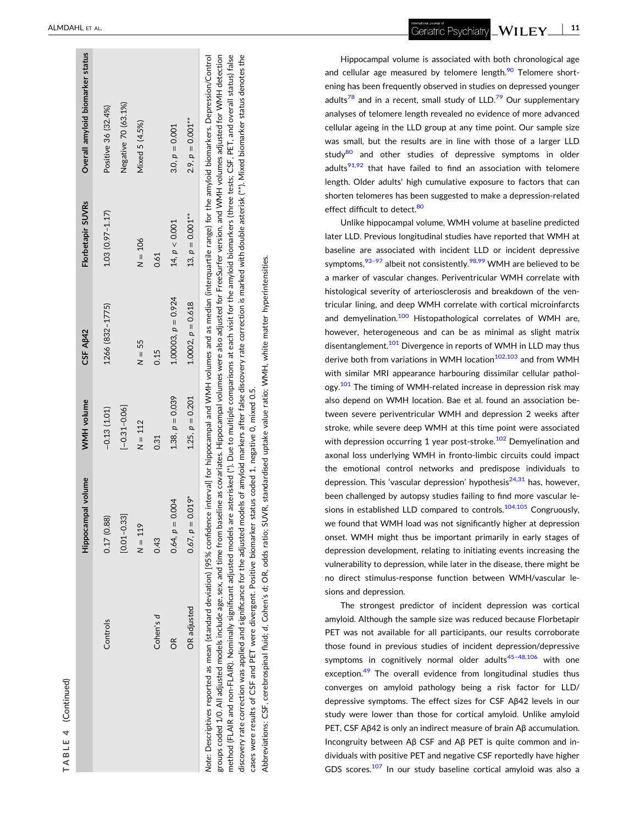| 4      |  |
|--------|--|
| г<br>г |  |
|        |  |

|                                                                                                                                                                                                       | Hippocampal volume | WMH volume        | CSF AB42               | Florbetapir SUVRs   | Overall amyloid biomarker status |
|-------------------------------------------------------------------------------------------------------------------------------------------------------------------------------------------------------|--------------------|-------------------|------------------------|---------------------|----------------------------------|
| Controls                                                                                                                                                                                              | 0.17(0.88)         | $-0.13(1.01)$     | 1266 (832-1775)        | $1.03(0.97 - 1.17)$ | Positive 36 (32.4%)              |
|                                                                                                                                                                                                       | $[0.01 - 0.33]$    | $[-0.31 - 0.06]$  |                        |                     | Negative 70 (63.1%)              |
|                                                                                                                                                                                                       | $N = 119$          | $N = 112$         | $N = 55$               | $N = 106$           | Mixed 5 (4.5%)                   |
| Cohen's d                                                                                                                                                                                             | 0.43               | 0.31              | 0.15                   | 0.61                |                                  |
| õ                                                                                                                                                                                                     | $0.64, p = 0.004$  | $1.38, p = 0.039$ | $1.00003, p = 0.924$   | 14, p < 0.001       | 3.0, $p = 0.001$                 |
| <b>OR</b> adjusted                                                                                                                                                                                    | $0.67, p = 0.019*$ | $1.25, p = 0.201$ | $1.0002$ , $p = 0.618$ | $13, p = 0.001***$  | $2.9, p = 0.001***$              |
| Note: Descriptives reported as mean (standard deviation) [95% confidence interval] for hippocampal and WMH volumes and as median (interquartile range) for the amyloid biomarkers. Depression/Control |                    |                   |                        |                     |                                  |

groups coded 1/0. All adjusted models include age, sex, and time from baseline as covariates. Hippocampal volumes were also adjusted for FreeSurfer version, and WMH volumes adjusted for WMH detection method (FLAIR and non-FLAIR). Nominally significant adjusted models are asterisked (\*). Due to multiple comparisons at each visit for the amyloid biomarkers (three tests; CSF, PET, and overall status) false discovery rate correction was applied and significance for the adjusted models of amyloid markers after false discovery rate correction is marked with double asterisk (\*\*). Mixed biomarker status denotes the groups coded 1/0. All adjusted models include age, sex, and time from baseline as covariates. Hippocampal volumes were also adjusted for FreeSurfer version, and WMH volumes adjusted for WMH detection method (FLAIR and non−FLAIR). Nominally significant adjusted models are asterisked (\*). Due to multiple comparisons at each visit for the amyloid biomarkers (three tests; CSF, PET, and overall status) false discovery rate correction was applied and significance for the adjusted models of amyloid markers after false discovery rate correction is marked with double asterisk (\*\*). Mixed biomarker status denotes the cases were results of CSF and PET were divergent. Positive biomarker status coded 1, negative 0, mixed 0.5. cases were results of CSF and PET were divergent. Positive biomarker status coded 1, negative 0, mixed 0.5

Abbreviations: CSF, cerebrospinal fluid; d, Cohen's d; OR, odds ratio; SUVR, standardised uptake value ratio; WMH, white matter hyperintensities. Abbreviations: CSF, cerebrospinal fluid; *d*, Cohen's d; OR, odds ratio; SUVR, standardised uptake value ratio; WMH, white matter hyperintensities.

- **11**WILEY\_ Geriatric Psychiatry

Hippocampal volume is associated with both chronological age and cellular age measured by telomere length. $\frac{90}{10}$  Telomere shortening has been frequently observed in studies on depressed younger adults<sup>[78](#page-14-0)</sup> and in a recent, small study of LLD.<sup>79</sup> Our supplementary analyses of telomere length revealed no evidence of more advanced cellular ageing in the LLD group at any time point. Our sample size was small, but the results are in line with those of a larger LLD study<sup>[80](#page-14-0)</sup> and other studies of depressive symptoms in older adults $91,92$  that have failed to find an association with telomere length. Older adults' high cumulative exposure to factors that can shorten telomeres has been suggested to make a depression ‐related effect difficult to detect.<sup>[80](#page-14-0)</sup>

Unlike hippocampal volume, WMH volume at baseline predicted later LLD. Previous longitudinal studies have reported that WMH at baseline are associated with incident LLD or incident depressive symptoms,  $93-97$  albeit not consistently.  $98,99$  WMH are believed to be a marker of vascular changes. Periventricular WMH correlate with histological severity of arteriosclerosis and breakdown of the ventricular lining, and deep WMH correlate with cortical microinfarcts and demyelination.<sup>[100](#page-14-0)</sup> Histopathological correlates of WMH are, however, heterogeneous and can be as minimal as slight matrix disentanglement.<sup>101</sup> Divergence in reports of WMH in LLD may thus derive both from variations in WMH location<sup>[102,103](#page-14-0)</sup> and from WMH with similar MRI appearance harbouring dissimilar cellular pathology.<sup>101</sup> The timing of WMH-related increase in depression risk may also depend on WMH location. Bae et al. found an association between severe periventricular WMH and depression 2 weeks after stroke, while severe deep WMH at this time point were associated with depression occurring 1 year post-stroke.<sup>102</sup> Demyelination and axonal loss underlying WMH in fronto ‐limbic circuits could impact the emotional control networks and predispose individuals to depression. This 'vascular depression' hypothesis<sup>[24,31](#page-12-0)</sup> has, however, been challenged by autopsy studies failing to find more vascular lesions in established LLD compared to controls.<sup>104,105</sup> Congruously, we found that WMH load was not significantly higher at depression onset. WMH might thus be important primarily in early stages of depression development, relating to initiating events increasing the vulnerability to depression, while later in the disease, there might be no direct stimulus ‐response function between WMH/vascular lesions and depression.

The strongest predictor of incident depression was cortical amyloid. Although the sample size was reduced because Florbetapir PET was not available for all participants, our results corroborate those found in previous studies of incident depression/depressive symptoms in cognitively normal older adults $45-48,106$  with one exception.<sup>49</sup> The overall evidence from longitudinal studies thus converges on amyloid pathology being a risk factor for LLD/ depressive symptoms. The effect sizes for CSF A β42 levels in our study were lower than those for cortical amyloid. Unlike amyloid PET, CSF Aβ42 is only an indirect measure of brain Aβ accumulation. Incongruity between A β CSF and A β PET is quite common and individuals with positive PET and negative CSF reportedly have higher GDS scores.<sup>[107](#page-14-0)</sup> In our study baseline cortical amyloid was also a

**College**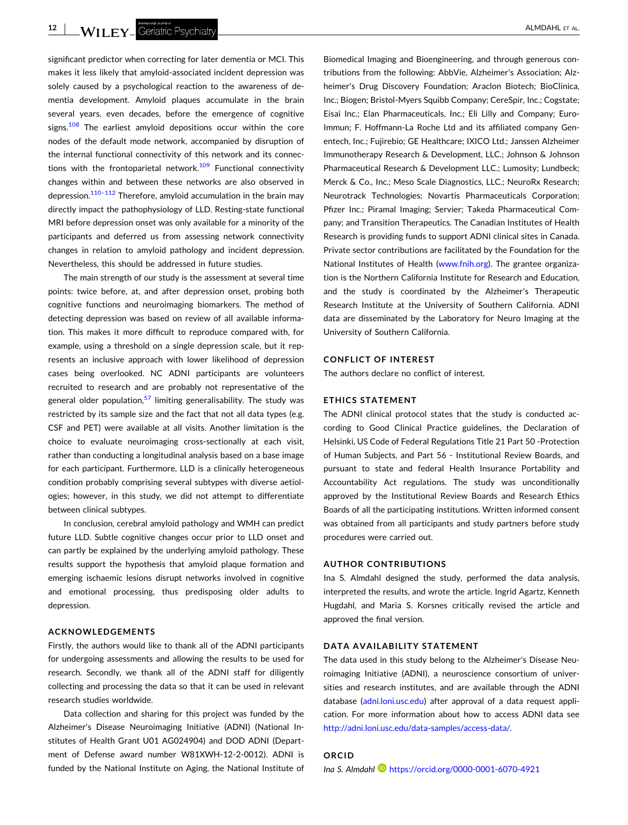significant predictor when correcting for later dementia or MCI. This makes it less likely that amyloid‐associated incident depression was solely caused by a psychological reaction to the awareness of dementia development. Amyloid plaques accumulate in the brain several years, even decades, before the emergence of cognitive signs.<sup>[108](#page-14-0)</sup> The earliest amyloid depositions occur within the core nodes of the default mode network, accompanied by disruption of the internal functional connectivity of this network and its connec-tions with the frontoparietal network.<sup>[109](#page-14-0)</sup> Functional connectivity changes within and between these networks are also observed in depression.<sup>[110–112](#page-14-0)</sup> Therefore, amyloid accumulation in the brain may directly impact the pathophysiology of LLD. Resting‐state functional MRI before depression onset was only available for a minority of the participants and deferred us from assessing network connectivity changes in relation to amyloid pathology and incident depression. Nevertheless, this should be addressed in future studies.

The main strength of our study is the assessment at several time points: twice before, at, and after depression onset, probing both cognitive functions and neuroimaging biomarkers. The method of detecting depression was based on review of all available information. This makes it more difficult to reproduce compared with, for example, using a threshold on a single depression scale, but it represents an inclusive approach with lower likelihood of depression cases being overlooked. NC ADNI participants are volunteers recruited to research and are probably not representative of the general older population,  $57$  limiting generalisability. The study was restricted by its sample size and the fact that not all data types (e.g. CSF and PET) were available at all visits. Another limitation is the choice to evaluate neuroimaging cross‐sectionally at each visit, rather than conducting a longitudinal analysis based on a base image for each participant. Furthermore, LLD is a clinically heterogeneous condition probably comprising several subtypes with diverse aetiologies; however, in this study, we did not attempt to differentiate between clinical subtypes.

In conclusion, cerebral amyloid pathology and WMH can predict future LLD. Subtle cognitive changes occur prior to LLD onset and can partly be explained by the underlying amyloid pathology. These results support the hypothesis that amyloid plaque formation and emerging ischaemic lesions disrupt networks involved in cognitive and emotional processing, thus predisposing older adults to depression.

#### **ACKNOWLEDGEMENTS**

Firstly, the authors would like to thank all of the ADNI participants for undergoing assessments and allowing the results to be used for research. Secondly, we thank all of the ADNI staff for diligently collecting and processing the data so that it can be used in relevant research studies worldwide.

Data collection and sharing for this project was funded by the Alzheimer's Disease Neuroimaging Initiative (ADNI) (National Institutes of Health Grant U01 AG024904) and DOD ADNI (Department of Defense award number W81XWH‐12‐2‐0012). ADNI is funded by the National Institute on Aging, the National Institute of

Biomedical Imaging and Bioengineering, and through generous contributions from the following: AbbVie, Alzheimer's Association; Alzheimer's Drug Discovery Foundation; Araclon Biotech; BioClinica, Inc.; Biogen; Bristol‐Myers Squibb Company; CereSpir, Inc.; Cogstate; Eisai Inc.; Elan Pharmaceuticals, Inc.; Eli Lilly and Company; Euro-Immun; F. Hoffmann‐La Roche Ltd and its affiliated company Genentech, Inc.; Fujirebio; GE Healthcare; IXICO Ltd.; Janssen Alzheimer Immunotherapy Research & Development, LLC.; Johnson & Johnson Pharmaceutical Research & Development LLC.; Lumosity; Lundbeck; Merck & Co., Inc.; Meso Scale Diagnostics, LLC.; NeuroRx Research; Neurotrack Technologies; Novartis Pharmaceuticals Corporation; Pfizer Inc.; Piramal Imaging; Servier; Takeda Pharmaceutical Company; and Transition Therapeutics. The Canadian Institutes of Health Research is providing funds to support ADNI clinical sites in Canada. Private sector contributions are facilitated by the Foundation for the National Institutes of Health [\(www.fnih.org](http://www.fnih.org)). The grantee organization is the Northern California Institute for Research and Education, and the study is coordinated by the Alzheimer's Therapeutic Research Institute at the University of Southern California. ADNI data are disseminated by the Laboratory for Neuro Imaging at the University of Southern California.

#### **CONFLICT OF INTEREST**

The authors declare no conflict of interest.

#### **ETHICS STATEMENT**

The ADNI clinical protocol states that the study is conducted according to Good Clinical Practice guidelines, the Declaration of Helsinki, US Code of Federal Regulations Title 21 Part 50 ‐Protection of Human Subjects, and Part 56 ‐ Institutional Review Boards, and pursuant to state and federal Health Insurance Portability and Accountability Act regulations. The study was unconditionally approved by the Institutional Review Boards and Research Ethics Boards of all the participating institutions. Written informed consent was obtained from all participants and study partners before study procedures were carried out.

#### **AUTHOR CONTRIBUTIONS**

Ina S. Almdahl designed the study, performed the data analysis, interpreted the results, and wrote the article. Ingrid Agartz, Kenneth Hugdahl, and Maria S. Korsnes critically revised the article and approved the final version.

#### **DATA AVAILABILITY STATEMENT**

The data used in this study belong to the Alzheimer's Disease Neuroimaging Initiative (ADNI), a neuroscience consortium of universities and research institutes, and are available through the ADNI database [\(adni.loni.usc.edu](http://adni.loni.usc.edu)) after approval of a data request application. For more information about how to access ADNI data see [http://adni.loni.usc.edu/data](http://adni.loni.usc.edu/data-samples/access-data/)‐samples/access‐data/.

#### **ORCID**

*Ina S. Almdahl* <https://orcid.org/0000-0001-6070-4921>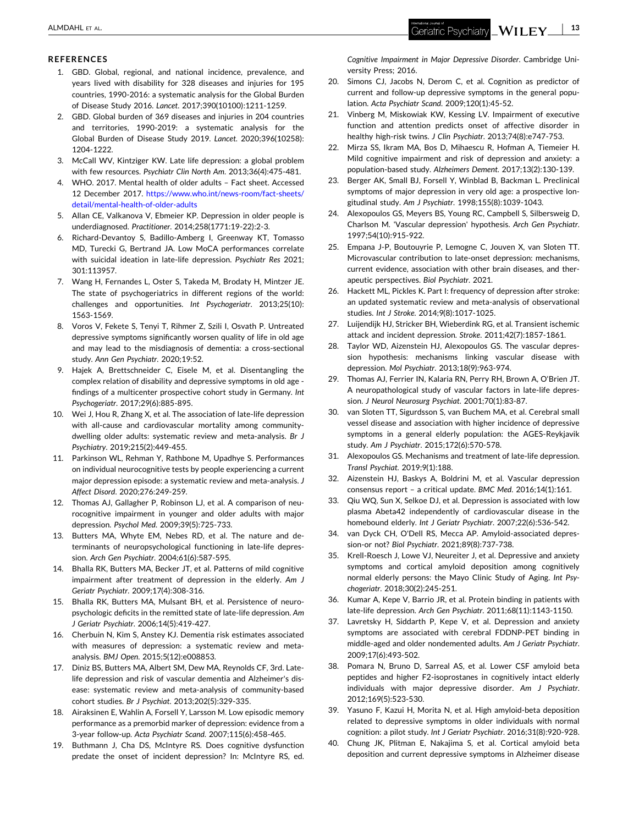#### <span id="page-12-0"></span>**REFERENCES**

- 1. GBD. Global, regional, and national incidence, prevalence, and years lived with disability for 328 diseases and injuries for 195 countries, 1990‐2016: a systematic analysis for the Global Burden of Disease Study 2016. *Lancet*. 2017;390(10100):1211‐1259.
- 2. GBD. Global burden of 369 diseases and injuries in 204 countries and territories, 1990‐2019: a systematic analysis for the Global Burden of Disease Study 2019. *Lancet*. 2020;396(10258): 1204‐1222.
- 3. McCall WV, Kintziger KW. Late life depression: a global problem with few resources. *Psychiatr Clin North Am*. 2013;36(4):475‐481.
- 4. WHO. 2017. Mental health of older adults Fact sheet. Accessed 12 December 2017. [https://www.who.int/news-room/fact-sheets/](https://www.who.int/news-room/fact-sheets/detail/mental-health-of-older-adults) [detail/mental-health-of-older-adults](https://www.who.int/news-room/fact-sheets/detail/mental-health-of-older-adults)
- 5. Allan CE, Valkanova V, Ebmeier KP. Depression in older people is underdiagnosed. *Practitioner*. 2014;258(1771:19‐22):2‐3.
- 6. Richard‐Devantoy S, Badillo‐Amberg I, Greenway KT, Tomasso MD, Turecki G, Bertrand JA. Low MoCA performances correlate with suicidal ideation in late‐life depression. *Psychiatr Res* 2021; 301:113957.
- 7. Wang H, Fernandes L, Oster S, Takeda M, Brodaty H, Mintzer JE. The state of psychogeriatrics in different regions of the world: challenges and opportunities. *Int Psychogeriatr*. 2013;25(10): 1563‐1569.
- 8. Voros V, Fekete S, Tenyi T, Rihmer Z, Szili I, Osvath P. Untreated depressive symptoms significantly worsen quality of life in old age and may lead to the misdiagnosis of dementia: a cross‐sectional study. *Ann Gen Psychiatr*. 2020;19:52.
- 9. Hajek A, Brettschneider C, Eisele M, et al. Disentangling the complex relation of disability and depressive symptoms in old age ‐ findings of a multicenter prospective cohort study in Germany. *Int Psychogeriatr*. 2017;29(6):885‐895.
- 10. Wei J, Hou R, Zhang X, et al. The association of late-life depression with all-cause and cardiovascular mortality among communitydwelling older adults: systematic review and meta‐analysis. *Br J Psychiatry*. 2019;215(2):449‐455.
- 11. Parkinson WL, Rehman Y, Rathbone M, Upadhye S. Performances on individual neurocognitive tests by people experiencing a current major depression episode: a systematic review and meta‐analysis. *J Affect Disord*. 2020;276:249‐259.
- 12. Thomas AJ, Gallagher P, Robinson LJ, et al. A comparison of neurocognitive impairment in younger and older adults with major depression. *Psychol Med*. 2009;39(5):725‐733.
- 13. Butters MA, Whyte EM, Nebes RD, et al. The nature and determinants of neuropsychological functioning in late‐life depression. *Arch Gen Psychiatr*. 2004;61(6):587‐595.
- 14. Bhalla RK, Butters MA, Becker JT, et al. Patterns of mild cognitive impairment after treatment of depression in the elderly. *Am J Geriatr Psychiatr*. 2009;17(4):308‐316.
- 15. Bhalla RK, Butters MA, Mulsant BH, et al. Persistence of neuropsychologic deficits in the remitted state of late‐life depression. *Am J Geriatr Psychiatr*. 2006;14(5):419‐427.
- 16. Cherbuin N, Kim S, Anstey KJ. Dementia risk estimates associated with measures of depression: a systematic review and metaanalysis. *BMJ Open*. 2015;5(12):e008853.
- 17. Diniz BS, Butters MA, Albert SM, Dew MA, Reynolds CF, 3rd. Late‐ life depression and risk of vascular dementia and Alzheimer's disease: systematic review and meta‐analysis of community‐based cohort studies. *Br J Psychiat*. 2013;202(5):329‐335.
- 18. Airaksinen E, Wahlin A, Forsell Y, Larsson M. Low episodic memory performance as a premorbid marker of depression: evidence from a 3‐year follow‐up. *Acta Psychiatr Scand*. 2007;115(6):458‐465.
- 19. Buthmann J, Cha DS, McIntyre RS. Does cognitive dysfunction predate the onset of incident depression? In: McIntyre RS, ed.

*Cognitive Impairment in Major Depressive Disorder*. Cambridge University Press; 2016.

- 20. Simons CJ, Jacobs N, Derom C, et al. Cognition as predictor of current and follow‐up depressive symptoms in the general population. *Acta Psychiatr Scand*. 2009;120(1):45‐52.
- 21. Vinberg M, Miskowiak KW, Kessing LV. Impairment of executive function and attention predicts onset of affective disorder in healthy high‐risk twins. *J Clin Psychiatr*. 2013;74(8):e747‐753.
- 22. Mirza SS, Ikram MA, Bos D, Mihaescu R, Hofman A, Tiemeier H. Mild cognitive impairment and risk of depression and anxiety: a population‐based study. *Alzheimers Dement*. 2017;13(2):130‐139.
- 23. Berger AK, Small BJ, Forsell Y, Winblad B, Backman L. Preclinical symptoms of major depression in very old age: a prospective longitudinal study. *Am J Psychiatr*. 1998;155(8):1039‐1043.
- 24. Alexopoulos GS, Meyers BS, Young RC, Campbell S, Silbersweig D, Charlson M. 'Vascular depression' hypothesis. *Arch Gen Psychiatr*. 1997;54(10):915‐922.
- Empana J-P, Boutouyrie P, Lemogne C, Jouven X, van Sloten TT. Microvascular contribution to late‐onset depression: mechanisms, current evidence, association with other brain diseases, and therapeutic perspectives. *Biol Psychiatr*. 2021.
- 26. Hackett ML, Pickles K. Part I: frequency of depression after stroke: an updated systematic review and meta‐analysis of observational studies. *Int J Stroke*. 2014;9(8):1017‐1025.
- 27. Luijendijk HJ, Stricker BH, Wieberdink RG, et al. Transient ischemic attack and incident depression. *Stroke*. 2011;42(7):1857‐1861.
- 28. Taylor WD, Aizenstein HJ, Alexopoulos GS. The vascular depression hypothesis: mechanisms linking vascular disease with depression. *Mol Psychiatr*. 2013;18(9):963‐974.
- Thomas AJ, Ferrier IN, Kalaria RN, Perry RH, Brown A, O'Brien JT. A neuropathological study of vascular factors in late‐life depression. *J Neurol Neurosurg Psychiat*. 2001;70(1):83‐87.
- 30. van Sloten TT, Sigurdsson S, van Buchem MA, et al. Cerebral small vessel disease and association with higher incidence of depressive symptoms in a general elderly population: the AGES‐Reykjavik study. *Am J Psychiatr*. 2015;172(6):570‐578.
- 31. Alexopoulos GS. Mechanisms and treatment of late‐life depression. *Transl Psychiat*. 2019;9(1):188.
- 32. Aizenstein HJ, Baskys A, Boldrini M, et al. Vascular depression consensus report – a critical update. *BMC Med*. 2016;14(1):161.
- 33. Qiu WQ, Sun X, Selkoe DJ, et al. Depression is associated with low plasma Abeta42 independently of cardiovascular disease in the homebound elderly. *Int J Geriatr Psychiatr*. 2007;22(6):536‐542.
- 34. van Dyck CH, O'Dell RS, Mecca AP. Amyloid‐associated depression‐or not? *Biol Psychiatr*. 2021;89(8):737‐738.
- 35. Krell‐Roesch J, Lowe VJ, Neureiter J, et al. Depressive and anxiety symptoms and cortical amyloid deposition among cognitively normal elderly persons: the Mayo Clinic Study of Aging. *Int Psychogeriatr*. 2018;30(2):245‐251.
- 36. Kumar A, Kepe V, Barrio JR, et al. Protein binding in patients with late‐life depression. *Arch Gen Psychiatr*. 2011;68(11):1143‐1150.
- 37. Lavretsky H, Siddarth P, Kepe V, et al. Depression and anxiety symptoms are associated with cerebral FDDNP‐PET binding in middle‐aged and older nondemented adults. *Am J Geriatr Psychiatr*. 2009;17(6):493‐502.
- 38. Pomara N, Bruno D, Sarreal AS, et al. Lower CSF amyloid beta peptides and higher F2‐isoprostanes in cognitively intact elderly individuals with major depressive disorder. *Am J Psychiatr*. 2012;169(5):523‐530.
- 39. Yasuno F, Kazui H, Morita N, et al. High amyloid‐beta deposition related to depressive symptoms in older individuals with normal cognition: a pilot study. *Int J Geriatr Psychiatr*. 2016;31(8):920‐928.
- 40. Chung JK, Plitman E, Nakajima S, et al. Cortical amyloid beta deposition and current depressive symptoms in Alzheimer disease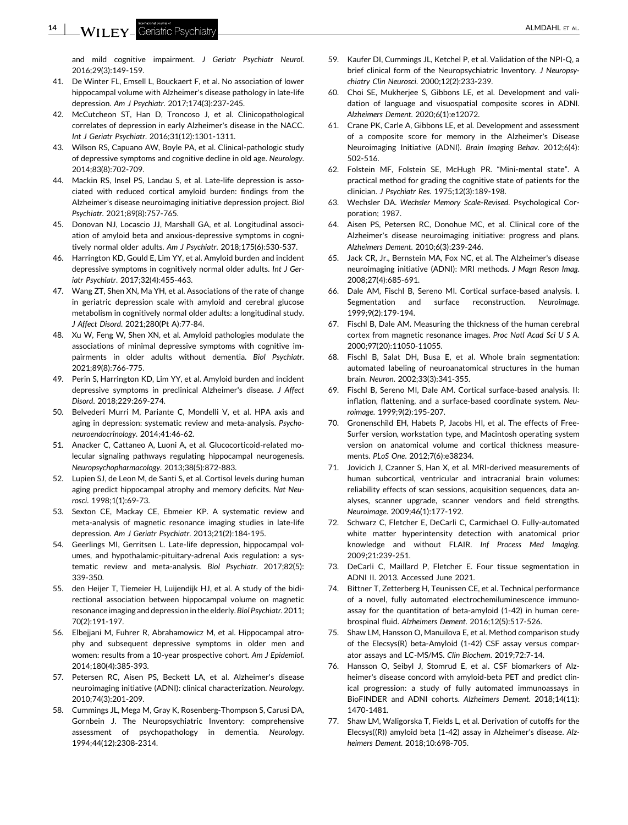<span id="page-13-0"></span>and mild cognitive impairment. *J Geriatr Psychiatr Neurol*. 2016;29(3):149‐159.

- 41. De Winter FL, Emsell L, Bouckaert F, et al. No association of lower hippocampal volume with Alzheimer's disease pathology in late‐life depression. *Am J Psychiatr*. 2017;174(3):237‐245.
- 42. McCutcheon ST, Han D, Troncoso J, et al. Clinicopathological correlates of depression in early Alzheimer's disease in the NACC. *Int J Geriatr Psychiatr*. 2016;31(12):1301‐1311.
- 43. Wilson RS, Capuano AW, Boyle PA, et al. Clinical-pathologic study of depressive symptoms and cognitive decline in old age. *Neurology*. 2014;83(8):702‐709.
- 44. Mackin RS, Insel PS, Landau S, et al. Late‐life depression is associated with reduced cortical amyloid burden: findings from the Alzheimer's disease neuroimaging initiative depression project. *Biol Psychiatr*. 2021;89(8):757‐765.
- 45. Donovan NJ, Locascio JJ, Marshall GA, et al. Longitudinal association of amyloid beta and anxious‐depressive symptoms in cognitively normal older adults. *Am J Psychiatr*. 2018;175(6):530‐537.
- 46. Harrington KD, Gould E, Lim YY, et al. Amyloid burden and incident depressive symptoms in cognitively normal older adults. *Int J Geriatr Psychiatr*. 2017;32(4):455‐463.
- 47. Wang ZT, Shen XN, Ma YH, et al. Associations of the rate of change in geriatric depression scale with amyloid and cerebral glucose metabolism in cognitively normal older adults: a longitudinal study. *J Affect Disord*. 2021;280(Pt A):77‐84.
- 48. Xu W, Feng W, Shen XN, et al. Amyloid pathologies modulate the associations of minimal depressive symptoms with cognitive impairments in older adults without dementia. *Biol Psychiatr*. 2021;89(8):766‐775.
- 49. Perin S, Harrington KD, Lim YY, et al. Amyloid burden and incident depressive symptoms in preclinical Alzheimer's disease. *J Affect Disord*. 2018;229:269‐274.
- 50. Belvederi Murri M, Pariante C, Mondelli V, et al. HPA axis and aging in depression: systematic review and meta‐analysis. *Psychoneuroendocrinology*. 2014;41:46‐62.
- 51. Anacker C, Cattaneo A, Luoni A, et al. Glucocorticoid-related molecular signaling pathways regulating hippocampal neurogenesis. *Neuropsychopharmacology*. 2013;38(5):872‐883.
- 52. Lupien SJ, de Leon M, de Santi S, et al. Cortisol levels during human aging predict hippocampal atrophy and memory deficits. *Nat Neurosci*. 1998;1(1):69‐73.
- 53. Sexton CE, Mackay CE, Ebmeier KP. A systematic review and meta‐analysis of magnetic resonance imaging studies in late‐life depression. *Am J Geriatr Psychiatr*. 2013;21(2):184‐195.
- 54. Geerlings MI, Gerritsen L. Late-life depression, hippocampal volumes, and hypothalamic‐pituitary‐adrenal Axis regulation: a systematic review and meta‐analysis. *Biol Psychiatr*. 2017;82(5): 339‐350.
- 55. den Heijer T, Tiemeier H, Luijendijk HJ, et al. A study of the bidirectional association between hippocampal volume on magnetic resonance imaging and depression in the elderly. *Biol Psychiatr*. 2011; 70(2):191‐197.
- 56. Elbejjani M, Fuhrer R, Abrahamowicz M, et al. Hippocampal atrophy and subsequent depressive symptoms in older men and women: results from a 10‐year prospective cohort. *Am J Epidemiol*. 2014;180(4):385‐393.
- 57. Petersen RC, Aisen PS, Beckett LA, et al. Alzheimer's disease neuroimaging initiative (ADNI): clinical characterization. *Neurology*. 2010;74(3):201‐209.
- 58. Cummings JL, Mega M, Gray K, Rosenberg‐Thompson S, Carusi DA, Gornbein J. The Neuropsychiatric Inventory: comprehensive assessment of psychopathology in dementia. *Neurology*. 1994;44(12):2308‐2314.
- 59. Kaufer DI, Cummings JL, Ketchel P, et al. Validation of the NPI‐Q, a brief clinical form of the Neuropsychiatric Inventory. *J Neuropsychiatry Clin Neurosci*. 2000;12(2):233‐239.
- 60. Choi SE, Mukherjee S, Gibbons LE, et al. Development and validation of language and visuospatial composite scores in ADNI. *Alzheimers Dement*. 2020;6(1):e12072.
- 61. Crane PK, Carle A, Gibbons LE, et al. Development and assessment of a composite score for memory in the Alzheimer's Disease Neuroimaging Initiative (ADNI). *Brain Imaging Behav*. 2012;6(4): 502‐516.
- 62. Folstein MF, Folstein SE, McHugh PR. "Mini‐mental state". A practical method for grading the cognitive state of patients for the clinician. *J Psychiatr Res*. 1975;12(3):189‐198.
- 63. Wechsler DA. *Wechsler Memory Scale‐Revised*. Psychological Corporation; 1987.
- 64. Aisen PS, Petersen RC, Donohue MC, et al. Clinical core of the Alzheimer's disease neuroimaging initiative: progress and plans. *Alzheimers Dement*. 2010;6(3):239‐246.
- 65. Jack CR, Jr., Bernstein MA, Fox NC, et al. The Alzheimer's disease neuroimaging initiative (ADNI): MRI methods. *J Magn Reson Imag*. 2008;27(4):685‐691.
- 66. Dale AM, Fischl B, Sereno MI. Cortical surface‐based analysis. I. Segmentation and surface reconstruction. *Neuroimage*. 1999;9(2):179‐194.
- 67. Fischl B, Dale AM. Measuring the thickness of the human cerebral cortex from magnetic resonance images. *Proc Natl Acad Sci U S A*. 2000;97(20):11050‐11055.
- 68. Fischl B, Salat DH, Busa E, et al. Whole brain segmentation: automated labeling of neuroanatomical structures in the human brain. *Neuron*. 2002;33(3):341‐355.
- 69. Fischl B, Sereno MI, Dale AM. Cortical surface‐based analysis. II: inflation, flattening, and a surface‐based coordinate system. *Neuroimage*. 1999;9(2):195‐207.
- 70. Gronenschild EH, Habets P, Jacobs HI, et al. The effects of Free-Surfer version, workstation type, and Macintosh operating system version on anatomical volume and cortical thickness measurements. *PLoS One*. 2012;7(6):e38234.
- 71. Jovicich J, Czanner S, Han X, et al. MRI-derived measurements of human subcortical, ventricular and intracranial brain volumes: reliability effects of scan sessions, acquisition sequences, data analyses, scanner upgrade, scanner vendors and field strengths. *Neuroimage*. 2009;46(1):177‐192.
- 72. Schwarz C, Fletcher E, DeCarli C, Carmichael O. Fully‐automated white matter hyperintensity detection with anatomical prior knowledge and without FLAIR. *Inf Process Med Imaging*. 2009;21:239‐251.
- 73. DeCarli C, Maillard P, Fletcher E. Four tissue segmentation in ADNI II. 2013. Accessed June 2021.
- 74. Bittner T, Zetterberg H, Teunissen CE, et al. Technical performance of a novel, fully automated electrochemiluminescence immunoassay for the quantitation of beta‐amyloid (1‐42) in human cerebrospinal fluid. *Alzheimers Dement*. 2016;12(5):517‐526.
- 75. Shaw LM, Hansson O, Manuilova E, et al. Method comparison study of the Elecsys(R) beta‐Amyloid (1‐42) CSF assay versus comparator assays and LC‐MS/MS. *Clin Biochem*. 2019;72:7‐14.
- 76. Hansson O, Seibyl J, Stomrud E, et al. CSF biomarkers of Alzheimer's disease concord with amyloid‐beta PET and predict clinical progression: a study of fully automated immunoassays in BioFINDER and ADNI cohorts. *Alzheimers Dement*. 2018;14(11): 1470‐1481.
- 77. Shaw LM, Waligorska T, Fields L, et al. Derivation of cutoffs for the Elecsys((R)) amyloid beta (1‐42) assay in Alzheimer's disease. *Alzheimers Dement*. 2018;10:698‐705.